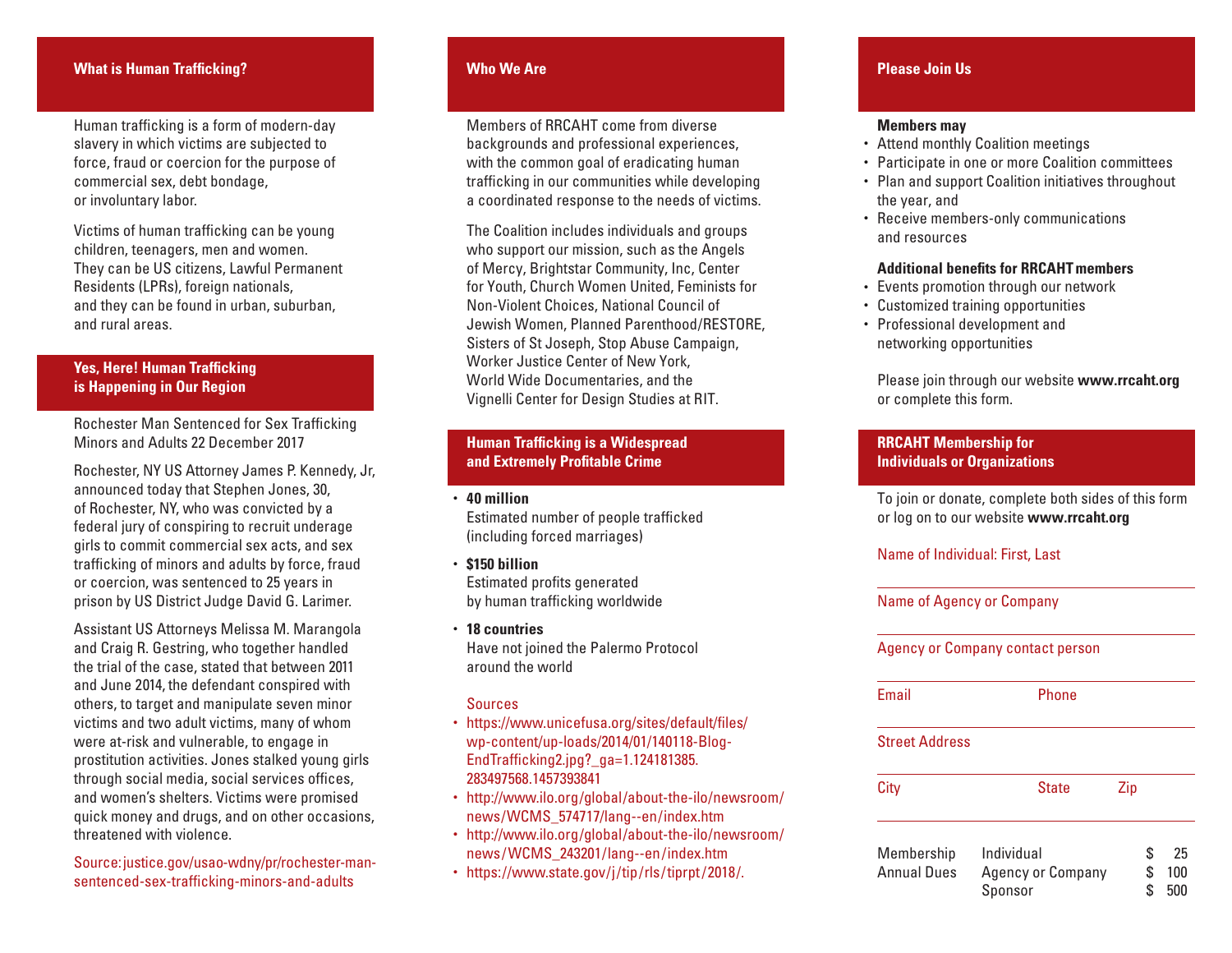### **What is Human Trafficking?**

Human trafficking is a form of modern-day slavery in which victims are subjected to force, fraud or coercion for the purpose of commercial sex, debt bondage, or involuntary labor.

Victims of human trafficking can be young children, teenagers, men and women. They can be US citizens, Lawful Permanent Residents (LPRs), foreign nationals, and they can be found in urban, suburban, and rural areas.

## **Yes, Here! Human Trafficking is Happening in Our Region**

Rochester Man Sentenced for Sex Trafficking Minors and Adults 22 December 2017

Rochester, NY US Attorney James P. Kennedy, Jr, announced today that Stephen Jones, 30, of Rochester, NY, who was convicted by a federal jury of conspiring to recruit underage girls to commit commercial sex acts, and sex trafficking of minors and adults by force, fraud or coercion, was sentenced to 25 years in prison by US District Judge David G. Larimer.

Assistant US Attorneys Melissa M. Marangola and Craig R. Gestring, who together handled the trial of the case, stated that between 2011 and June 2014, the defendant conspired with others, to target and manipulate seven minor victims and two adult victims, many of whom were at-risk and vulnerable, to engage in prostitution activities. Jones stalked young girls through social media, social services offices, and women's shelters. Victims were promised quick money and drugs, and on other occasions, threatened with violence.

Source: justice.gov/usao-wdny/pr/rochester-mansentenced-sex-trafficking-minors-and-adults

## **Who We Are**

 Members of RRCAHT come from diverse backgrounds and professional experiences, with the common goal of eradicating human trafficking in our communities while developing a coordinated response to the needs of victims.

 The Coalition includes individuals and groups who support our mission, such as the Angels of Mercy, Brightstar Community, Inc, Center for Youth, Church Women United, Feminists for Non-Violent Choices, National Council of Jewish Women, Planned Parenthood/RESTORE, Sisters of St Joseph, Stop Abuse Campaign, Worker Justice Center of New York, World Wide Documentaries, and the Vignelli Center for Design Studies at RIT.

## **Human Trafficking is a Widespread and Extremely Profitable Crime**

• **40 million** Estimated number of people trafficked (including forced marriages)

- **\$150 billion** Estimated profits generated by human trafficking worldwide
- **18 countries** Have not joined the Palermo Protocol around the world

## **Sources**

- https://www.unicefusa.org/sites/default/files/ wp-content/up-loads/2014/01/140118-Blog- EndTrafficking2.jpg?\_ga=1.124181385. 283497568.1457393841
- http://www.ilo.org/global/about-the-ilo/newsroom/ news/WCMS\_574717/lang--en/index.htm
- http://www.ilo.org/global/about-the-ilo/newsroom/ news /WCMS\_243201/lang--en /index.htm
- https://www.state.gov/j/tip/rls/tiprpt /2018/.

# **Please Join Us**

#### **Members may**

- Attend monthly Coalition meetings
- Participate in one or more Coalition committees
- Plan and support Coalition initiatives throughout the year, and
- Receive members-only communications and resources

#### **Additional benefits for RRCAHT members**

- Events promotion through our network
- Customized training opportunities
- Professional development and networking opportunities

 Please join through our website **www.rrcaht.org**  or complete this form.

## **RRCAHT Membership for Individuals or Organizations**

To join or donate, complete both sides of this form or log on to our website **www.rrcaht.org**

#### Name of Individual: First, Last

Name of Agency or Company

Agency or Company contact person

Email Phone

### Street Address

| City               | <b>State</b>      | Zip |     |
|--------------------|-------------------|-----|-----|
| Membership         | Individual        | S   | 25  |
| <b>Annual Dues</b> | Agency or Company |     | 100 |
|                    | Sponsor           |     | 500 |